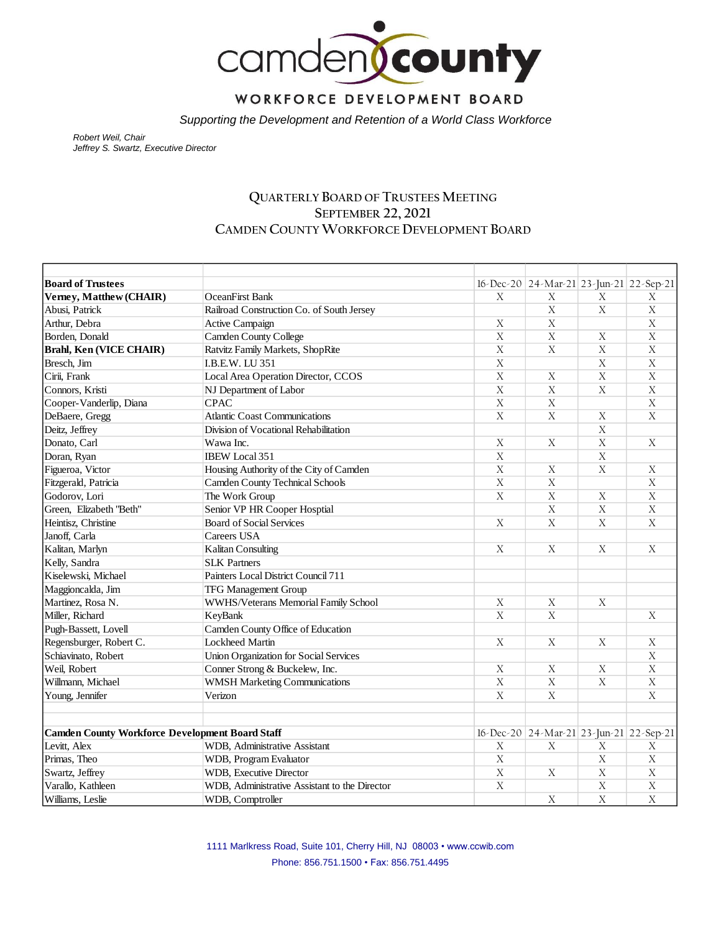

WORKFORCE DEVELOPMENT BOARD

*Supporting the Development and Retention of a World Class Workforce*

*Robert Weil, Chair Jeffrey S. Swartz, Executive Director* 

#### **QUARTERLY BOARD OF TRUSTEES MEETING SEPTEMBER 22, 2021 CAMDEN COUNTY WORKFORCE DEVELOPMENT BOARD**

| <b>Board of Trustees</b>                               |                                               |                       | $16$ -Dec-20   24-Mar-21   23-Jun-21   22-Sep-21 |                |                           |
|--------------------------------------------------------|-----------------------------------------------|-----------------------|--------------------------------------------------|----------------|---------------------------|
| Verney, Matthew (CHAIR)                                | <b>OceanFirst Bank</b>                        | X                     | X                                                | X              | $\mathbf X$               |
| Abusi, Patrick                                         | Railroad Construction Co. of South Jersey     |                       | $\mathbf X$                                      | $\mathbf X$    | $\mathbf X$               |
| Arthur, Debra                                          | Active Campaign                               | X                     | X                                                |                | $\mathbf X$               |
| Borden, Donald                                         | Camden County College                         | $\overline{X}$        | $\overline{X}$                                   | $\overline{X}$ | $\overline{X}$            |
| Brahl, Ken (VICE CHAIR)                                | Ratvitz Family Markets, ShopRite              | $\overline{X}$        | $\overline{X}$                                   | $\overline{X}$ | $\overline{X}$            |
| Bresch, Jim                                            | I.B.E.W. LU 351                               | $\overline{X}$        |                                                  | $\mathbf X$    | $\overline{X}$            |
| Cirii, Frank                                           | Local Area Operation Director, CCOS           | X                     | X                                                | $\mathbf X$    | $\overline{X}$            |
| Connors, Kristi                                        | NJ Department of Labor                        | $\overline{X}$        | $\mathbf X$                                      | $\mathbf X$    | $\overline{\text{X}}$     |
| Cooper-Vanderlip, Diana                                | <b>CPAC</b>                                   | $\overline{X}$        | $\mathbf X$                                      |                | $\mathbf X$               |
| DeBaere, Gregg                                         | <b>Atlantic Coast Communications</b>          | $\overline{X}$        | $\mathbf X$                                      | $\mathbf X$    | $\overline{X}$            |
| Deitz, Jeffrey                                         | Division of Vocational Rehabilitation         |                       |                                                  | $\overline{X}$ |                           |
| Donato, Carl                                           | Wawa Inc.                                     | $\overline{X}$        | $\overline{X}$                                   | $\overline{X}$ | $\overline{X}$            |
| Doran, Ryan                                            | IBEW Local 351                                | $\overline{X}$        |                                                  | $\overline{X}$ |                           |
| Figueroa, Victor                                       | Housing Authority of the City of Camden       | $\overline{\text{X}}$ | X                                                | $\mathbf X$    | X                         |
| Fitzgerald, Patricia                                   | <b>Camden County Technical Schools</b>        | X                     | $\mathbf X$                                      |                | $\mathbf X$               |
| Godorov, Lori                                          | The Work Group                                | $\overline{X}$        | $\overline{X}$                                   | $\overline{X}$ | $\overline{X}$            |
| Green, Elizabeth "Beth"                                | Senior VP HR Cooper Hosptial                  |                       | $\mathbf X$                                      | $\mathbf X$    | $\bar{X}$                 |
| Heintisz, Christine                                    | <b>Board of Social Services</b>               | $\mathbf X$           | $\mathbf X$                                      | $\mathbf X$    | $\boldsymbol{\mathrm{X}}$ |
| Janoff, Carla                                          | Careers USA                                   |                       |                                                  |                |                           |
| Kalitan, Marlyn                                        | <b>Kalitan Consulting</b>                     | X                     | X                                                | X              | X                         |
| Kelly, Sandra                                          | <b>SLK Partners</b>                           |                       |                                                  |                |                           |
| Kiselewski, Michael                                    | Painters Local District Council 711           |                       |                                                  |                |                           |
| Maggioncalda, Jim                                      | <b>TFG Management Group</b>                   |                       |                                                  |                |                           |
| Martinez, Rosa N.                                      | WWHS/Veterans Memorial Family School          | X                     | $\mathbf X$                                      | $\mathbf X$    |                           |
| Miller, Richard                                        | KeyBank                                       | $\overline{X}$        | $\mathbf X$                                      |                | X                         |
| Pugh-Bassett, Lovell                                   | Camden County Office of Education             |                       |                                                  |                |                           |
| Regensburger, Robert C.                                | Lockheed Martin                               | $\mathbf X$           | X                                                | X              | X                         |
| Schiavinato, Robert                                    | Union Organization for Social Services        |                       |                                                  |                | $\boldsymbol{X}$          |
| Weil, Robert                                           | Conner Strong & Buckelew, Inc.                | $\mathbf X$           | $\mathbf X$                                      | $\mathbf X$    | $\overline{X}$            |
| Willmann, Michael                                      | <b>WMSH Marketing Communications</b>          | $\overline{X}$        | $\overline{X}$                                   | $\overline{X}$ | $\overline{X}$            |
| Young, Jennifer                                        | Verizon                                       | X                     | $\mathbf X$                                      |                | X                         |
|                                                        |                                               |                       |                                                  |                |                           |
| <b>Camden County Workforce Development Board Staff</b> |                                               |                       | $16$ -Dec-20 24-Mar-21 23-Jun-21 22-Sep-21       |                |                           |
| Levitt, Alex                                           | WDB, Administrative Assistant                 | X                     | X                                                | X              | X                         |
| Primas, Theo                                           | WDB, Program Evaluator                        | $\mathbf X$           |                                                  | X              | $\mathbf X$               |
| Swartz, Jeffrey                                        | WDB, Executive Director                       | $\overline{X}$        | $\mathbf X$                                      | $\mathbf X$    | $\overline{X}$            |
| Varallo, Kathleen                                      | WDB, Administrative Assistant to the Director | $\mathbf X$           |                                                  | $\mathbf X$    | $\boldsymbol{\mathrm{X}}$ |
| Williams, Leslie                                       | WDB, Comptroller                              |                       | $\mathbf X$                                      | $\overline{X}$ | $\overline{X}$            |

1111 Marlkress Road, Suite 101, Cherry Hill, NJ 08003 • www.ccwib.com Phone: 856.751.1500 • Fax: 856.751.4495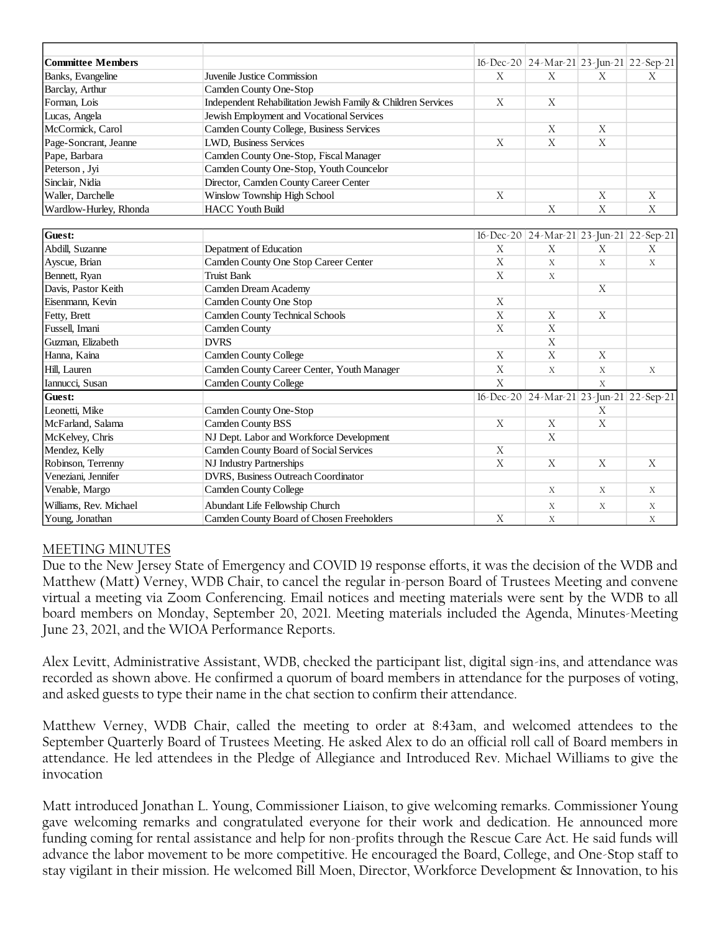| <b>Committee Members</b> |                                                              |                  | $16$ -Dec-20 24-Mar-21 23-Jun-21 22-Sep-21       |                |             |
|--------------------------|--------------------------------------------------------------|------------------|--------------------------------------------------|----------------|-------------|
| Banks, Evangeline        | Juvenile Justice Commission                                  | X                | X                                                | X              | X           |
| Barclay, Arthur          | Camden County One-Stop                                       |                  |                                                  |                |             |
| Forman, Lois             | Independent Rehabilitation Jewish Family & Children Services | $\boldsymbol{X}$ | X                                                |                |             |
| Lucas, Angela            | Jewish Employment and Vocational Services                    |                  |                                                  |                |             |
| McCormick, Carol         | Camden County College, Business Services                     |                  | $\boldsymbol{X}$                                 | X              |             |
| Page-Soncrant, Jeanne    | LWD, Business Services                                       | $\mathbf X$      | $\mathbf X$                                      | $\mathbf X$    |             |
| Pape, Barbara            | Camden County One-Stop, Fiscal Manager                       |                  |                                                  |                |             |
| Peterson, Jyi            | Camden County One-Stop, Youth Councelor                      |                  |                                                  |                |             |
| Sinclair, Nidia          | Director, Camden County Career Center                        |                  |                                                  |                |             |
| Waller, Darchelle        | Winslow Township High School                                 | $\boldsymbol{X}$ |                                                  | X              | $\mathbf X$ |
| Wardlow-Hurley, Rhonda   | <b>HACC Youth Build</b>                                      |                  | $\boldsymbol{X}$                                 | $\mathbf X$    | $\mathbf X$ |
|                          |                                                              |                  |                                                  |                |             |
| <b>Guest:</b>            |                                                              |                  | $16$ -Dec-20   24-Mar-21   23-Jun-21   22-Sep-21 |                |             |
| Abdill, Suzanne          | Depatment of Education                                       | X                | X                                                | X              | $\mathbf X$ |
| Ayscue, Brian            | Camden County One Stop Career Center                         | $\mathbf X$      | X                                                | X              | $\mathbf X$ |
| Bennett, Ryan            | <b>Truist Bank</b>                                           | $\mathbf X$      | X                                                |                |             |
| Davis, Pastor Keith      | Camden Dream Academy                                         |                  |                                                  | X              |             |
| Eisenmann, Kevin         | Camden County One Stop                                       | $\boldsymbol{X}$ |                                                  |                |             |
| Fetty, Brett             | <b>Camden County Technical Schools</b>                       | $\mathbf X$      | X                                                | X              |             |
| Fussell, Imani           | Camden County                                                | $\mathbf X$      | $\boldsymbol{X}$                                 |                |             |
| Guzman, Elizabeth        | <b>DVRS</b>                                                  |                  | $\boldsymbol{X}$                                 |                |             |
| Hanna, Kaina             | <b>Camden County College</b>                                 | X                | $\boldsymbol{X}$                                 | X              |             |
| Hill, Lauren             | Camden County Career Center, Youth Manager                   | $\mathbf X$      | $\boldsymbol{X}$                                 | $\mathbf X$    | $\mathbf X$ |
| Iannucci, Susan          | <b>Camden County College</b>                                 | $\overline{X}$   |                                                  | $\overline{X}$ |             |
| Guest:                   |                                                              |                  | 16-Dec-20 24-Mar-21 23-Jun-21 22-Sep-21          |                |             |
| Leonetti, Mike           | Camden County One-Stop                                       |                  |                                                  | X              |             |
| McFarland, Salama        | Camden County BSS                                            | X                | $\boldsymbol{X}$                                 | $\mathbf X$    |             |
| McKelvey, Chris          | NJ Dept. Labor and Workforce Development                     |                  | X                                                |                |             |
| Mendez, Kelly            | Camden County Board of Social Services                       | $\bar{X}$        |                                                  |                |             |
| Robinson, Terrenny       | NJ Industry Partnerships                                     | $\mathbf X$      | $\mathbf X$                                      | X              | $\mathbf X$ |
| Veneziani, Jennifer      | DVRS, Business Outreach Coordinator                          |                  |                                                  |                |             |
| Venable, Margo           | <b>Camden County College</b>                                 |                  | $\mathbf X$                                      | $\mathbf X$    | $\mathbf X$ |
| Williams, Rev. Michael   | Abundant Life Fellowship Church                              |                  | X                                                | X              | $\mathbf X$ |
| Young, Jonathan          | Camden County Board of Chosen Freeholders                    | X                | X                                                |                | X           |

### MEETING MINUTES

Due to the New Jersey State of Emergency and COVID 19 response efforts, it was the decision of the WDB and Matthew (Matt) Verney, WDB Chair, to cancel the regular in-person Board of Trustees Meeting and convene virtual a meeting via Zoom Conferencing. Email notices and meeting materials were sent by the WDB to all board members on Monday, September 20, 2021. Meeting materials included the Agenda, Minutes-Meeting June 23, 2021, and the WIOA Performance Reports.

Alex Levitt, Administrative Assistant, WDB, checked the participant list, digital sign-ins, and attendance was recorded as shown above. He confirmed a quorum of board members in attendance for the purposes of voting, and asked guests to type their name in the chat section to confirm their attendance.

Matthew Verney, WDB Chair, called the meeting to order at 8:43am, and welcomed attendees to the September Quarterly Board of Trustees Meeting. He asked Alex to do an official roll call of Board members in attendance. He led attendees in the Pledge of Allegiance and Introduced Rev. Michael Williams to give the invocation

Matt introduced Jonathan L. Young, Commissioner Liaison, to give welcoming remarks. Commissioner Young gave welcoming remarks and congratulated everyone for their work and dedication. He announced more funding coming for rental assistance and help for non-profits through the Rescue Care Act. He said funds will advance the labor movement to be more competitive. He encouraged the Board, College, and One-Stop staff to stay vigilant in their mission. He welcomed Bill Moen, Director, Workforce Development & Innovation, to his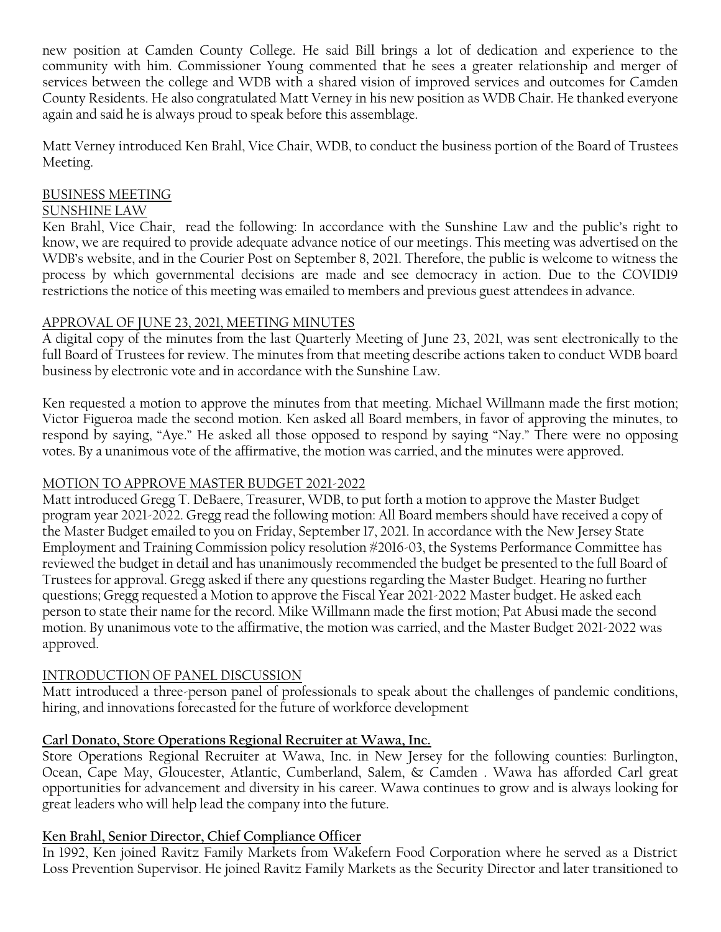new position at Camden County College. He said Bill brings a lot of dedication and experience to the community with him. Commissioner Young commented that he sees a greater relationship and merger of services between the college and WDB with a shared vision of improved services and outcomes for Camden County Residents. He also congratulated Matt Verney in his new position as WDB Chair. He thanked everyone again and said he is always proud to speak before this assemblage.

Matt Verney introduced Ken Brahl, Vice Chair, WDB, to conduct the business portion of the Board of Trustees Meeting.

# BUSINESS MEETING

## SUNSHINE LAW

Ken Brahl, Vice Chair, read the following: In accordance with the Sunshine Law and the public's right to know, we are required to provide adequate advance notice of our meetings. This meeting was advertised on the WDB's website, and in the Courier Post on September 8, 2021. Therefore, the public is welcome to witness the process by which governmental decisions are made and see democracy in action. Due to the COVID19 restrictions the notice of this meeting was emailed to members and previous guest attendees in advance.

# APPROVAL OF JUNE 23, 2021, MEETING MINUTES

A digital copy of the minutes from the last Quarterly Meeting of June 23, 2021, was sent electronically to the full Board of Trustees for review. The minutes from that meeting describe actions taken to conduct WDB board business by electronic vote and in accordance with the Sunshine Law.

Ken requested a motion to approve the minutes from that meeting. Michael Willmann made the first motion; Victor Figueroa made the second motion. Ken asked all Board members, in favor of approving the minutes, to respond by saying, "Aye." He asked all those opposed to respond by saying "Nay." There were no opposing votes. By a unanimous vote of the affirmative, the motion was carried, and the minutes were approved.

# MOTION TO APPROVE MASTER BUDGET 2021-2022

Matt introduced Gregg T. DeBaere, Treasurer, WDB, to put forth a motion to approve the Master Budget program year 2021-2022. Gregg read the following motion: All Board members should have received a copy of the Master Budget emailed to you on Friday, September 17, 2021. In accordance with the New Jersey State Employment and Training Commission policy resolution #2016-03, the Systems Performance Committee has reviewed the budget in detail and has unanimously recommended the budget be presented to the full Board of Trustees for approval. Gregg asked if there any questions regarding the Master Budget. Hearing no further questions; Gregg requested a Motion to approve the Fiscal Year 2021-2022 Master budget. He asked each person to state their name for the record. Mike Willmann made the first motion; Pat Abusi made the second motion. By unanimous vote to the affirmative, the motion was carried, and the Master Budget 2021-2022 was approved.

# INTRODUCTION OF PANEL DISCUSSION

Matt introduced a three-person panel of professionals to speak about the challenges of pandemic conditions, hiring, and innovations forecasted for the future of workforce development

# **Carl Donato, Store Operations Regional Recruiter at Wawa, Inc.**

Store Operations Regional Recruiter at Wawa, Inc. in New Jersey for the following counties: Burlington, Ocean, Cape May, Gloucester, Atlantic, Cumberland, Salem, & Camden . Wawa has afforded Carl great opportunities for advancement and diversity in his career. Wawa continues to grow and is always looking for great leaders who will help lead the company into the future.

# **Ken Brahl, Senior Director, Chief Compliance Officer**

In 1992, Ken joined Ravitz Family Markets from Wakefern Food Corporation where he served as a District Loss Prevention Supervisor. He joined Ravitz Family Markets as the Security Director and later transitioned to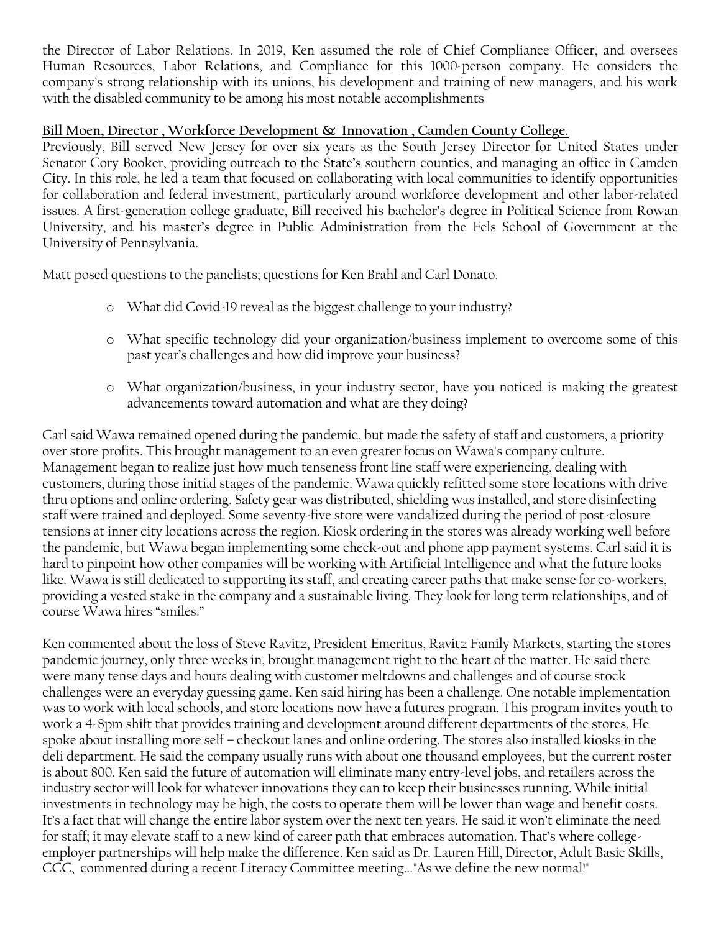the Director of Labor Relations. In 2019, Ken assumed the role of Chief Compliance Officer, and oversees Human Resources, Labor Relations, and Compliance for this 1000-person company. He considers the company's strong relationship with its unions, his development and training of new managers, and his work with the disabled community to be among his most notable accomplishments

## **Bill Moen, Director , Workforce Development & Innovation , Camden County College.**

Previously, Bill served New Jersey for over six years as the South Jersey Director for United States under Senator Cory Booker, providing outreach to the State's southern counties, and managing an office in Camden City. In this role, he led a team that focused on collaborating with local communities to identify opportunities for collaboration and federal investment, particularly around workforce development and other labor-related issues. A first-generation college graduate, Bill received his bachelor's degree in Political Science from Rowan University, and his master's degree in Public Administration from the Fels School of Government at the University of Pennsylvania.

Matt posed questions to the panelists; questions for Ken Brahl and Carl Donato.

- o What did Covid-19 reveal as the biggest challenge to your industry?
- o What specific technology did your organization/business implement to overcome some of this past year's challenges and how did improve your business?
- o What organization/business, in your industry sector, have you noticed is making the greatest advancements toward automation and what are they doing?

Carl said Wawa remained opened during the pandemic, but made the safety of staff and customers, a priority over store profits. This brought management to an even greater focus on Wawa's company culture. Management began to realize just how much tenseness front line staff were experiencing, dealing with customers, during those initial stages of the pandemic. Wawa quickly refitted some store locations with drive thru options and online ordering. Safety gear was distributed, shielding was installed, and store disinfecting staff were trained and deployed. Some seventy-five store were vandalized during the period of post-closure tensions at inner city locations across the region. Kiosk ordering in the stores was already working well before the pandemic, but Wawa began implementing some check-out and phone app payment systems. Carl said it is hard to pinpoint how other companies will be working with Artificial Intelligence and what the future looks like. Wawa is still dedicated to supporting its staff, and creating career paths that make sense for co-workers, providing a vested stake in the company and a sustainable living. They look for long term relationships, and of course Wawa hires "smiles."

Ken commented about the loss of Steve Ravitz, President Emeritus, Ravitz Family Markets, starting the stores pandemic journey, only three weeks in, brought management right to the heart of the matter. He said there were many tense days and hours dealing with customer meltdowns and challenges and of course stock challenges were an everyday guessing game. Ken said hiring has been a challenge. One notable implementation was to work with local schools, and store locations now have a futures program. This program invites youth to work a 4-8pm shift that provides training and development around different departments of the stores. He spoke about installing more self – checkout lanes and online ordering. The stores also installed kiosks in the deli department. He said the company usually runs with about one thousand employees, but the current roster is about 800. Ken said the future of automation will eliminate many entry-level jobs, and retailers across the industry sector will look for whatever innovations they can to keep their businesses running. While initial investments in technology may be high, the costs to operate them will be lower than wage and benefit costs. It's a fact that will change the entire labor system over the next ten years. He said it won't eliminate the need for staff; it may elevate staff to a new kind of career path that embraces automation. That's where collegeemployer partnerships will help make the difference. Ken said as Dr. Lauren Hill, Director, Adult Basic Skills, CCC, commented during a recent Literacy Committee meeting..."As we define the new normal!"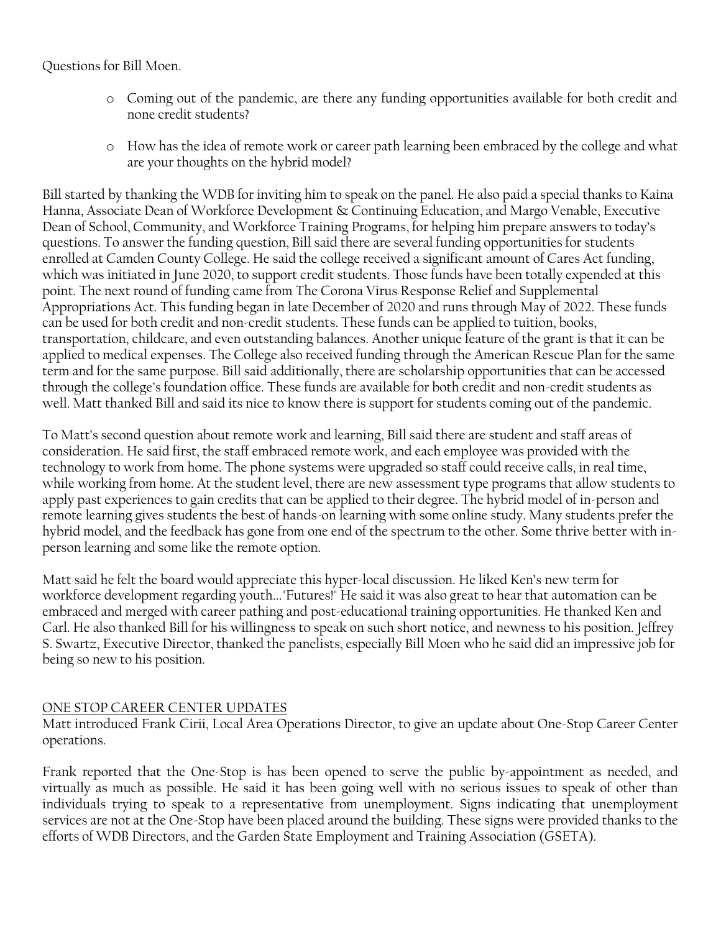### Questions for Bill Moen.

- o Coming out of the pandemic, are there any funding opportunities available for both credit and none credit students?
- o How has the idea of remote work or career path learning been embraced by the college and what are your thoughts on the hybrid model?

Bill started by thanking the WDB for inviting him to speak on the panel. He also paid a special thanks to Kaina Hanna, Associate Dean of Workforce Development & Continuing Education, and Margo Venable, Executive Dean of School, Community, and Workforce Training Programs, for helping him prepare answers to today's questions. To answer the funding question, Bill said there are several funding opportunities for students enrolled at Camden County College. He said the college received a significant amount of Cares Act funding, which was initiated in June 2020, to support credit students. Those funds have been totally expended at this point. The next round of funding came from The Corona Virus Response Relief and Supplemental Appropriations Act. This funding began in late December of 2020 and runs through May of 2022. These funds can be used for both credit and non-credit students. These funds can be applied to tuition, books, transportation, childcare, and even outstanding balances. Another unique feature of the grant is that it can be applied to medical expenses. The College also received funding through the American Rescue Plan for the same term and for the same purpose. Bill said additionally, there are scholarship opportunities that can be accessed through the college's foundation office. These funds are available for both credit and non-credit students as well. Matt thanked Bill and said its nice to know there is support for students coming out of the pandemic.

To Matt's second question about remote work and learning, Bill said there are student and staff areas of consideration. He said first, the staff embraced remote work, and each employee was provided with the technology to work from home. The phone systems were upgraded so staff could receive calls, in real time, while working from home. At the student level, there are new assessment type programs that allow students to apply past experiences to gain credits that can be applied to their degree. The hybrid model of in-person and remote learning gives students the best of hands-on learning with some online study. Many students prefer the hybrid model, and the feedback has gone from one end of the spectrum to the other. Some thrive better with inperson learning and some like the remote option.

Matt said he felt the board would appreciate this hyper-local discussion. He liked Ken's new term for workforce development regarding youth..."Futures!" He said it was also great to hear that automation can be embraced and merged with career pathing and post-educational training opportunities. He thanked Ken and Carl. He also thanked Bill for his willingness to speak on such short notice, and newness to his position. Jeffrey S. Swartz, Executive Director, thanked the panelists, especially Bill Moen who he said did an impressive job for being so new to his position.

### ONE STOP CAREER CENTER UPDATES

Matt introduced Frank Cirii, Local Area Operations Director, to give an update about One-Stop Career Center operations.

Frank reported that the One-Stop is has been opened to serve the public by-appointment as needed, and virtually as much as possible. He said it has been going well with no serious issues to speak of other than individuals trying to speak to a representative from unemployment. Signs indicating that unemployment services are not at the One-Stop have been placed around the building. These signs were provided thanks to the efforts of WDB Directors, and the Garden State Employment and Training Association (GSETA).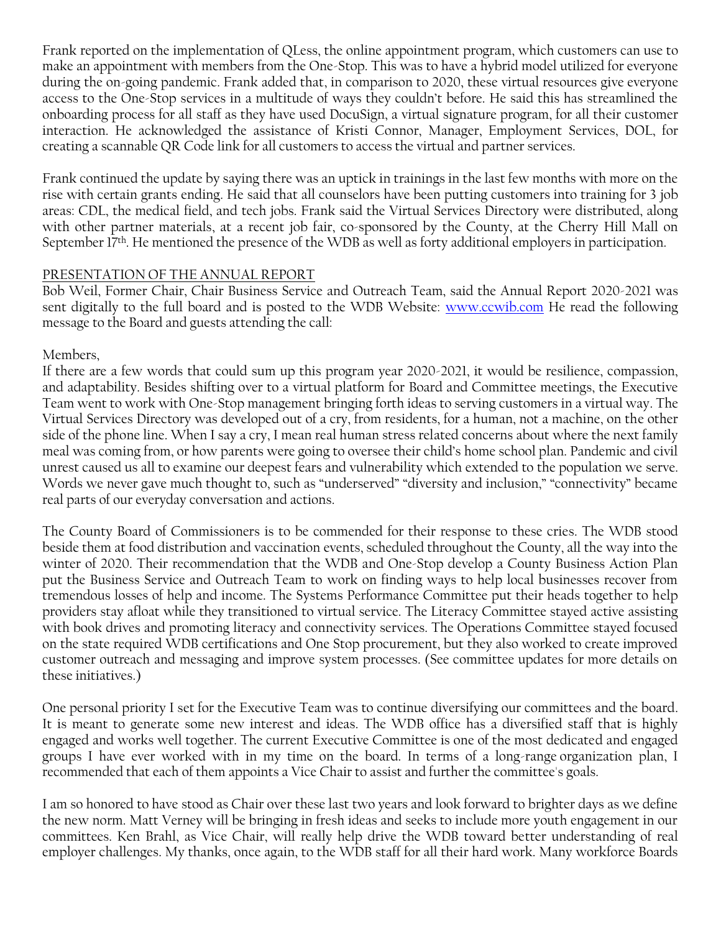Frank reported on the implementation of QLess, the online appointment program, which customers can use to make an appointment with members from the One-Stop. This was to have a hybrid model utilized for everyone during the on-going pandemic. Frank added that, in comparison to 2020, these virtual resources give everyone access to the One-Stop services in a multitude of ways they couldn't before. He said this has streamlined the onboarding process for all staff as they have used DocuSign, a virtual signature program, for all their customer interaction. He acknowledged the assistance of Kristi Connor, Manager, Employment Services, DOL, for creating a scannable QR Code link for all customers to access the virtual and partner services.

Frank continued the update by saying there was an uptick in trainings in the last few months with more on the rise with certain grants ending. He said that all counselors have been putting customers into training for 3 job areas: CDL, the medical field, and tech jobs. Frank said the Virtual Services Directory were distributed, along with other partner materials, at a recent job fair, co-sponsored by the County, at the Cherry Hill Mall on September 17<sup>th</sup>. He mentioned the presence of the WDB as well as forty additional employers in participation.

#### PRESENTATION OF THE ANNUAL REPORT

Bob Weil, Former Chair, Chair Business Service and Outreach Team, said the Annual Report 2020-2021 was sent digitally to the full board and is posted to the WDB Website: [www.ccwib.com](http://www.ccwib.com/) He read the following message to the Board and guests attending the call:

#### Members,

If there are a few words that could sum up this program year 2020-2021, it would be resilience, compassion, and adaptability. Besides shifting over to a virtual platform for Board and Committee meetings, the Executive Team went to work with One-Stop management bringing forth ideas to serving customers in a virtual way. The Virtual Services Directory was developed out of a cry, from residents, for a human, not a machine, on the other side of the phone line. When I say a cry, I mean real human stress related concerns about where the next family meal was coming from, or how parents were going to oversee their child's home school plan. Pandemic and civil unrest caused us all to examine our deepest fears and vulnerability which extended to the population we serve. Words we never gave much thought to, such as "underserved" "diversity and inclusion," "connectivity" became real parts of our everyday conversation and actions.

The County Board of Commissioners is to be commended for their response to these cries. The WDB stood beside them at food distribution and vaccination events, scheduled throughout the County, all the way into the winter of 2020. Their recommendation that the WDB and One-Stop develop a County Business Action Plan put the Business Service and Outreach Team to work on finding ways to help local businesses recover from tremendous losses of help and income. The Systems Performance Committee put their heads together to help providers stay afloat while they transitioned to virtual service. The Literacy Committee stayed active assisting with book drives and promoting literacy and connectivity services. The Operations Committee stayed focused on the state required WDB certifications and One Stop procurement, but they also worked to create improved customer outreach and messaging and improve system processes. (See committee updates for more details on these initiatives.)

One personal priority I set for the Executive Team was to continue diversifying our committees and the board. It is meant to generate some new interest and ideas. The WDB office has a diversified staff that is highly engaged and works well together. The current Executive Committee is one of the most dedicated and engaged groups I have ever worked with in my time on the board. In terms of a long-range organization plan, I recommended that each of them appoints a Vice Chair to assist and further the committee's goals.

I am so honored to have stood as Chair over these last two years and look forward to brighter days as we define the new norm. Matt Verney will be bringing in fresh ideas and seeks to include more youth engagement in our committees. Ken Brahl, as Vice Chair, will really help drive the WDB toward better understanding of real employer challenges. My thanks, once again, to the WDB staff for all their hard work. Many workforce Boards